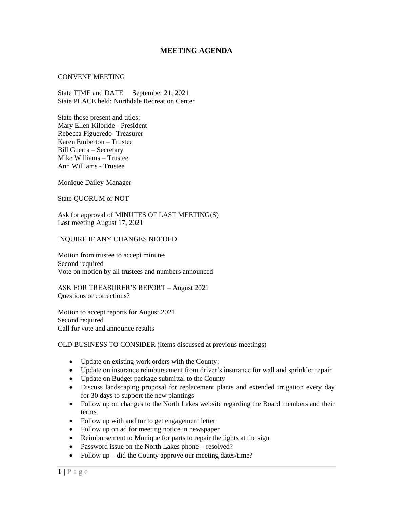## **MEETING AGENDA**

## CONVENE MEETING

State TIME and DATE September 21, 2021 State PLACE held: Northdale Recreation Center

State those present and titles: Mary Ellen Kilbride - President Rebecca Figueredo- Treasurer Karen Emberton – Trustee Bill Guerra – Secretary Mike Williams – Trustee Ann Williams - Trustee

Monique Dailey-Manager

State QUORUM or NOT

Ask for approval of MINUTES OF LAST MEETING(S) Last meeting August 17, 2021

## INQUIRE IF ANY CHANGES NEEDED

Motion from trustee to accept minutes Second required Vote on motion by all trustees and numbers announced

ASK FOR TREASURER'S REPORT – August 2021 Questions or corrections?

Motion to accept reports for August 2021 Second required Call for vote and announce results

OLD BUSINESS TO CONSIDER (Items discussed at previous meetings)

- Update on existing work orders with the County:
- Update on insurance reimbursement from driver's insurance for wall and sprinkler repair
- Update on Budget package submittal to the County
- Discuss landscaping proposal for replacement plants and extended irrigation every day for 30 days to support the new plantings
- Follow up on changes to the North Lakes website regarding the Board members and their terms.
- Follow up with auditor to get engagement letter
- Follow up on ad for meeting notice in newspaper
- Reimbursement to Monique for parts to repair the lights at the sign
- Password issue on the North Lakes phone resolved?
- Follow up did the County approve our meeting dates/time?